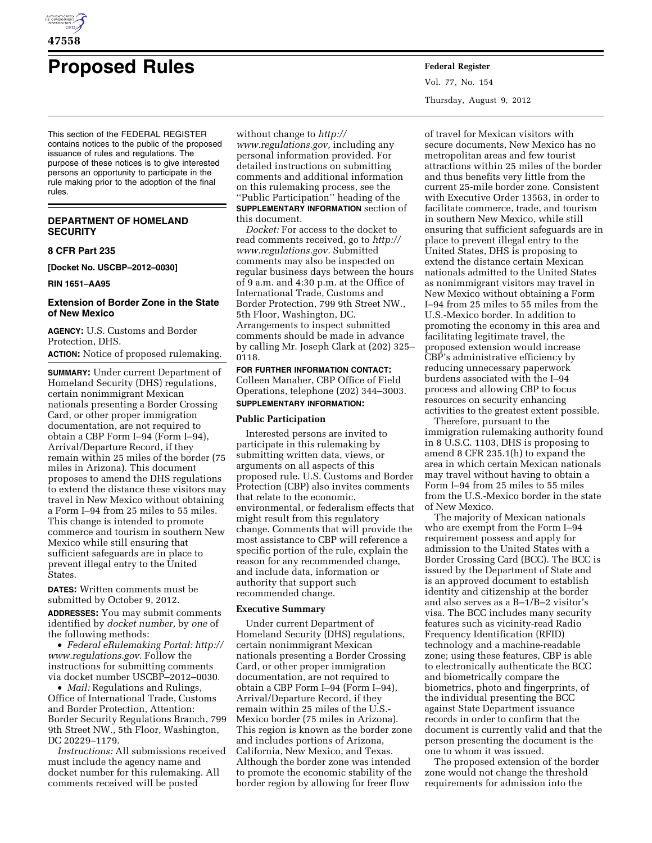

# **Proposed Rules Federal Register**

This section of the FEDERAL REGISTER contains notices to the public of the proposed issuance of rules and regulations. The purpose of these notices is to give interested persons an opportunity to participate in the rule making prior to the adoption of the final rules.

# **DEPARTMENT OF HOMELAND SECURITY**

#### **8 CFR Part 235**

**[Docket No. USCBP–2012–0030]** 

#### **RIN 1651–AA95**

# **Extension of Border Zone in the State of New Mexico**

**AGENCY:** U.S. Customs and Border Protection, DHS.

**ACTION:** Notice of proposed rulemaking.

**SUMMARY:** Under current Department of Homeland Security (DHS) regulations, certain nonimmigrant Mexican nationals presenting a Border Crossing Card, or other proper immigration documentation, are not required to obtain a CBP Form I–94 (Form I–94), Arrival/Departure Record, if they remain within 25 miles of the border (75 miles in Arizona). This document proposes to amend the DHS regulations to extend the distance these visitors may travel in New Mexico without obtaining a Form I–94 from 25 miles to 55 miles. This change is intended to promote commerce and tourism in southern New Mexico while still ensuring that sufficient safeguards are in place to prevent illegal entry to the United States.

**DATES:** Written comments must be submitted by October 9, 2012.

**ADDRESSES:** You may submit comments identified by *docket number,* by *one* of the following methods:

• *Federal eRulemaking Portal: [http://](http://www.regulations.gov)  [www.regulations.gov.](http://www.regulations.gov)* Follow the instructions for submitting comments via docket number USCBP–2012–0030.

• *Mail:* Regulations and Rulings, Office of International Trade, Customs and Border Protection, Attention: Border Security Regulations Branch, 799 9th Street NW., 5th Floor, Washington, DC 20229–1179.

*Instructions:* All submissions received must include the agency name and docket number for this rulemaking. All comments received will be posted

without change to *[http://](http://www.regulations.gov)* 

*[www.regulations.gov,](http://www.regulations.gov)* including any personal information provided. For detailed instructions on submitting comments and additional information on this rulemaking process, see the ''Public Participation'' heading of the **SUPPLEMENTARY INFORMATION** section of this document.

*Docket:* For access to the docket to read comments received, go to *[http://](http://www.regulations.gov) [www.regulations.gov.](http://www.regulations.gov)* Submitted comments may also be inspected on regular business days between the hours of 9 a.m. and 4:30 p.m. at the Office of International Trade, Customs and Border Protection, 799 9th Street NW., 5th Floor, Washington, DC. Arrangements to inspect submitted comments should be made in advance by calling Mr. Joseph Clark at (202) 325– 0118.

**FOR FURTHER INFORMATION CONTACT:**  Colleen Manaher, CBP Office of Field Operations, telephone (202) 344–3003. **SUPPLEMENTARY INFORMATION:** 

#### **Public Participation**

Interested persons are invited to participate in this rulemaking by submitting written data, views, or arguments on all aspects of this proposed rule. U.S. Customs and Border Protection (CBP) also invites comments that relate to the economic, environmental, or federalism effects that might result from this regulatory change. Comments that will provide the most assistance to CBP will reference a specific portion of the rule, explain the reason for any recommended change, and include data, information or authority that support such recommended change.

#### **Executive Summary**

Under current Department of Homeland Security (DHS) regulations, certain nonimmigrant Mexican nationals presenting a Border Crossing Card, or other proper immigration documentation, are not required to obtain a CBP Form I–94 (Form I–94), Arrival/Departure Record, if they remain within 25 miles of the U.S.- Mexico border (75 miles in Arizona). This region is known as the border zone and includes portions of Arizona, California, New Mexico, and Texas. Although the border zone was intended to promote the economic stability of the border region by allowing for freer flow

Vol. 77, No. 154 Thursday, August 9, 2012

of travel for Mexican visitors with secure documents, New Mexico has no metropolitan areas and few tourist attractions within 25 miles of the border and thus benefits very little from the current 25-mile border zone. Consistent with Executive Order 13563, in order to facilitate commerce, trade, and tourism in southern New Mexico, while still ensuring that sufficient safeguards are in place to prevent illegal entry to the United States, DHS is proposing to extend the distance certain Mexican nationals admitted to the United States as nonimmigrant visitors may travel in New Mexico without obtaining a Form I–94 from 25 miles to 55 miles from the U.S.-Mexico border. In addition to promoting the economy in this area and facilitating legitimate travel, the proposed extension would increase CBP's administrative efficiency by reducing unnecessary paperwork burdens associated with the I–94 process and allowing CBP to focus resources on security enhancing activities to the greatest extent possible.

Therefore, pursuant to the immigration rulemaking authority found in 8 U.S.C. 1103, DHS is proposing to amend 8 CFR 235.1(h) to expand the area in which certain Mexican nationals may travel without having to obtain a Form I–94 from 25 miles to 55 miles from the U.S.-Mexico border in the state of New Mexico.

The majority of Mexican nationals who are exempt from the Form I–94 requirement possess and apply for admission to the United States with a Border Crossing Card (BCC). The BCC is issued by the Department of State and is an approved document to establish identity and citizenship at the border and also serves as a B–1/B–2 visitor's visa. The BCC includes many security features such as vicinity-read Radio Frequency Identification (RFID) technology and a machine-readable zone; using these features, CBP is able to electronically authenticate the BCC and biometrically compare the biometrics, photo and fingerprints, of the individual presenting the BCC against State Department issuance records in order to confirm that the document is currently valid and that the person presenting the document is the one to whom it was issued.

The proposed extension of the border zone would not change the threshold requirements for admission into the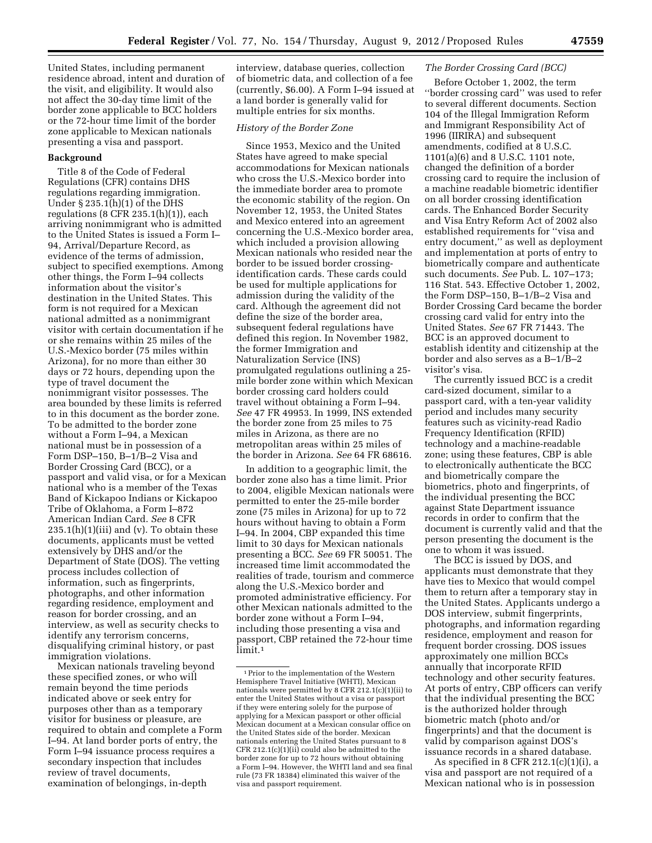United States, including permanent residence abroad, intent and duration of the visit, and eligibility. It would also not affect the 30-day time limit of the border zone applicable to BCC holders or the 72-hour time limit of the border zone applicable to Mexican nationals presenting a visa and passport.

# **Background**

Title 8 of the Code of Federal Regulations (CFR) contains DHS regulations regarding immigration. Under § 235.1(h)(1) of the DHS regulations  $(8$  CFR  $235.1(h)(1)$ , each arriving nonimmigrant who is admitted to the United States is issued a Form I– 94, Arrival/Departure Record, as evidence of the terms of admission, subject to specified exemptions. Among other things, the Form I–94 collects information about the visitor's destination in the United States. This form is not required for a Mexican national admitted as a nonimmigrant visitor with certain documentation if he or she remains within 25 miles of the U.S.-Mexico border (75 miles within Arizona), for no more than either 30 days or 72 hours, depending upon the type of travel document the nonimmigrant visitor possesses. The area bounded by these limits is referred to in this document as the border zone. To be admitted to the border zone without a Form I–94, a Mexican national must be in possession of a Form DSP–150, B–1/B–2 Visa and Border Crossing Card (BCC), or a passport and valid visa, or for a Mexican national who is a member of the Texas Band of Kickapoo Indians or Kickapoo Tribe of Oklahoma, a Form I–872 American Indian Card. *See* 8 CFR  $235.1(h)(1)(iii)$  and (v). To obtain these documents, applicants must be vetted extensively by DHS and/or the Department of State (DOS). The vetting process includes collection of information, such as fingerprints, photographs, and other information regarding residence, employment and reason for border crossing, and an interview, as well as security checks to identify any terrorism concerns, disqualifying criminal history, or past immigration violations.

Mexican nationals traveling beyond these specified zones, or who will remain beyond the time periods indicated above or seek entry for purposes other than as a temporary visitor for business or pleasure, are required to obtain and complete a Form I–94. At land border ports of entry, the Form I–94 issuance process requires a secondary inspection that includes review of travel documents, examination of belongings, in-depth

interview, database queries, collection of biometric data, and collection of a fee (currently, \$6.00). A Form I–94 issued at a land border is generally valid for multiple entries for six months.

# *History of the Border Zone*

Since 1953, Mexico and the United States have agreed to make special accommodations for Mexican nationals who cross the U.S.-Mexico border into the immediate border area to promote the economic stability of the region. On November 12, 1953, the United States and Mexico entered into an agreement concerning the U.S.-Mexico border area, which included a provision allowing Mexican nationals who resided near the border to be issued border crossingidentification cards. These cards could be used for multiple applications for admission during the validity of the card. Although the agreement did not define the size of the border area, subsequent federal regulations have defined this region. In November 1982, the former Immigration and Naturalization Service (INS) promulgated regulations outlining a 25 mile border zone within which Mexican border crossing card holders could travel without obtaining a Form I–94. *See* 47 FR 49953. In 1999, INS extended the border zone from 25 miles to 75 miles in Arizona, as there are no metropolitan areas within 25 miles of the border in Arizona. *See* 64 FR 68616.

In addition to a geographic limit, the border zone also has a time limit. Prior to 2004, eligible Mexican nationals were permitted to enter the 25-mile border zone (75 miles in Arizona) for up to 72 hours without having to obtain a Form I–94. In 2004, CBP expanded this time limit to 30 days for Mexican nationals presenting a BCC. *See* 69 FR 50051. The increased time limit accommodated the realities of trade, tourism and commerce along the U.S.-Mexico border and promoted administrative efficiency. For other Mexican nationals admitted to the border zone without a Form I–94, including those presenting a visa and passport, CBP retained the 72-hour time limit.1

# *The Border Crossing Card (BCC)*

Before October 1, 2002, the term ''border crossing card'' was used to refer to several different documents. Section 104 of the Illegal Immigration Reform and Immigrant Responsibility Act of 1996 (IIRIRA) and subsequent amendments, codified at 8 U.S.C. 1101(a)(6) and 8 U.S.C. 1101 note, changed the definition of a border crossing card to require the inclusion of a machine readable biometric identifier on all border crossing identification cards. The Enhanced Border Security and Visa Entry Reform Act of 2002 also established requirements for ''visa and entry document,'' as well as deployment and implementation at ports of entry to biometrically compare and authenticate such documents. *See* Pub. L. 107–173; 116 Stat. 543. Effective October 1, 2002, the Form DSP–150, B–1/B–2 Visa and Border Crossing Card became the border crossing card valid for entry into the United States. *See* 67 FR 71443. The BCC is an approved document to establish identity and citizenship at the border and also serves as a B–1/B–2 visitor's visa.

The currently issued BCC is a credit card-sized document, similar to a passport card, with a ten-year validity period and includes many security features such as vicinity-read Radio Frequency Identification (RFID) technology and a machine-readable zone; using these features, CBP is able to electronically authenticate the BCC and biometrically compare the biometrics, photo and fingerprints, of the individual presenting the BCC against State Department issuance records in order to confirm that the document is currently valid and that the person presenting the document is the one to whom it was issued.

The BCC is issued by DOS, and applicants must demonstrate that they have ties to Mexico that would compel them to return after a temporary stay in the United States. Applicants undergo a DOS interview, submit fingerprints, photographs, and information regarding residence, employment and reason for frequent border crossing. DOS issues approximately one million BCCs annually that incorporate RFID technology and other security features. At ports of entry, CBP officers can verify that the individual presenting the BCC is the authorized holder through biometric match (photo and/or fingerprints) and that the document is valid by comparison against DOS's issuance records in a shared database.

As specified in 8 CFR 212.1(c)(1)(i), a visa and passport are not required of a Mexican national who is in possession

<sup>1</sup>Prior to the implementation of the Western Hemisphere Travel Initiative (WHTI), Mexican nationals were permitted by 8 CFR 212.1(c)(1)(ii) to enter the United States without a visa or passport if they were entering solely for the purpose of applying for a Mexican passport or other official Mexican document at a Mexican consular office on the United States side of the border. Mexican nationals entering the United States pursuant to 8 CFR 212.1(c)(1)(ii) could also be admitted to the border zone for up to 72 hours without obtaining a Form I–94. However, the WHTI land and sea final rule (73 FR 18384) eliminated this waiver of the visa and passport requirement.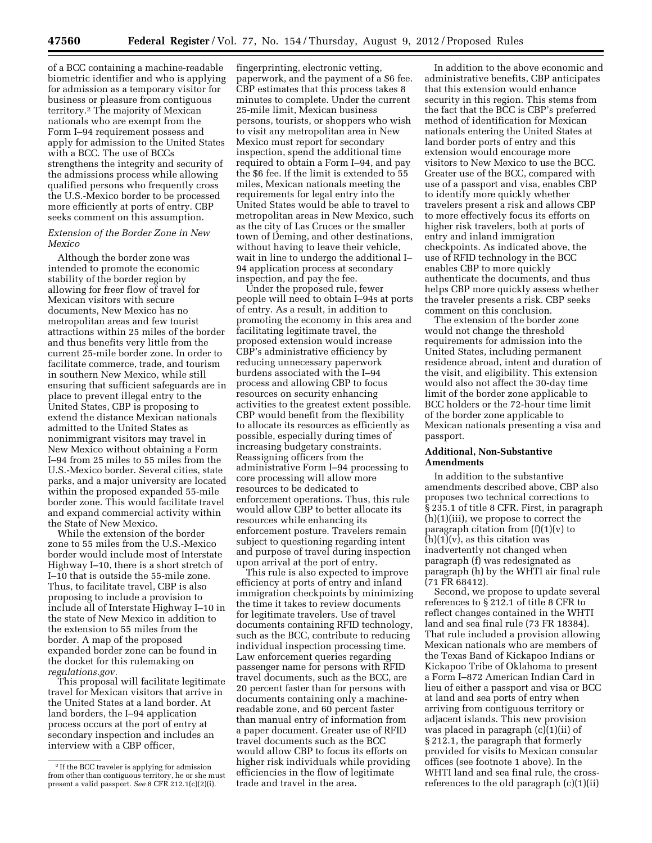of a BCC containing a machine-readable biometric identifier and who is applying for admission as a temporary visitor for business or pleasure from contiguous territory.2 The majority of Mexican nationals who are exempt from the Form I–94 requirement possess and apply for admission to the United States with a BCC. The use of BCCs strengthens the integrity and security of the admissions process while allowing qualified persons who frequently cross the U.S.-Mexico border to be processed more efficiently at ports of entry. CBP seeks comment on this assumption.

# *Extension of the Border Zone in New Mexico*

Although the border zone was intended to promote the economic stability of the border region by allowing for freer flow of travel for Mexican visitors with secure documents, New Mexico has no metropolitan areas and few tourist attractions within 25 miles of the border and thus benefits very little from the current 25-mile border zone. In order to facilitate commerce, trade, and tourism in southern New Mexico, while still ensuring that sufficient safeguards are in place to prevent illegal entry to the United States, CBP is proposing to extend the distance Mexican nationals admitted to the United States as nonimmigrant visitors may travel in New Mexico without obtaining a Form I–94 from 25 miles to 55 miles from the U.S.-Mexico border. Several cities, state parks, and a major university are located within the proposed expanded 55-mile border zone. This would facilitate travel and expand commercial activity within the State of New Mexico.

While the extension of the border zone to 55 miles from the U.S.-Mexico border would include most of Interstate Highway I–10, there is a short stretch of I–10 that is outside the 55-mile zone. Thus, to facilitate travel, CBP is also proposing to include a provision to include all of Interstate Highway I–10 in the state of New Mexico in addition to the extension to 55 miles from the border. A map of the proposed expanded border zone can be found in the docket for this rulemaking on *regulations.gov.* 

This proposal will facilitate legitimate travel for Mexican visitors that arrive in the United States at a land border. At land borders, the I–94 application process occurs at the port of entry at secondary inspection and includes an interview with a CBP officer,

fingerprinting, electronic vetting, paperwork, and the payment of a \$6 fee. CBP estimates that this process takes 8 minutes to complete. Under the current 25-mile limit, Mexican business persons, tourists, or shoppers who wish to visit any metropolitan area in New Mexico must report for secondary inspection, spend the additional time required to obtain a Form I–94, and pay the \$6 fee. If the limit is extended to 55 miles, Mexican nationals meeting the requirements for legal entry into the United States would be able to travel to metropolitan areas in New Mexico, such as the city of Las Cruces or the smaller town of Deming, and other destinations, without having to leave their vehicle, wait in line to undergo the additional I– 94 application process at secondary inspection, and pay the fee.

Under the proposed rule, fewer people will need to obtain I–94s at ports of entry. As a result, in addition to promoting the economy in this area and facilitating legitimate travel, the proposed extension would increase CBP's administrative efficiency by reducing unnecessary paperwork burdens associated with the I–94 process and allowing CBP to focus resources on security enhancing activities to the greatest extent possible. CBP would benefit from the flexibility to allocate its resources as efficiently as possible, especially during times of increasing budgetary constraints. Reassigning officers from the administrative Form I–94 processing to core processing will allow more resources to be dedicated to enforcement operations. Thus, this rule would allow CBP to better allocate its resources while enhancing its enforcement posture. Travelers remain subject to questioning regarding intent and purpose of travel during inspection upon arrival at the port of entry.

This rule is also expected to improve efficiency at ports of entry and inland immigration checkpoints by minimizing the time it takes to review documents for legitimate travelers. Use of travel documents containing RFID technology, such as the BCC, contribute to reducing individual inspection processing time. Law enforcement queries regarding passenger name for persons with RFID travel documents, such as the BCC, are 20 percent faster than for persons with documents containing only a machinereadable zone, and 60 percent faster than manual entry of information from a paper document. Greater use of RFID travel documents such as the BCC would allow CBP to focus its efforts on higher risk individuals while providing efficiencies in the flow of legitimate trade and travel in the area.

In addition to the above economic and administrative benefits, CBP anticipates that this extension would enhance security in this region. This stems from the fact that the BCC is CBP's preferred method of identification for Mexican nationals entering the United States at land border ports of entry and this extension would encourage more visitors to New Mexico to use the BCC. Greater use of the BCC, compared with use of a passport and visa, enables CBP to identify more quickly whether travelers present a risk and allows CBP to more effectively focus its efforts on higher risk travelers, both at ports of entry and inland immigration checkpoints. As indicated above, the use of RFID technology in the BCC enables CBP to more quickly authenticate the documents, and thus helps CBP more quickly assess whether the traveler presents a risk. CBP seeks comment on this conclusion.

The extension of the border zone would not change the threshold requirements for admission into the United States, including permanent residence abroad, intent and duration of the visit, and eligibility. This extension would also not affect the 30-day time limit of the border zone applicable to BCC holders or the 72-hour time limit of the border zone applicable to Mexican nationals presenting a visa and passport.

# **Additional, Non-Substantive Amendments**

In addition to the substantive amendments described above, CBP also proposes two technical corrections to § 235.1 of title 8 CFR. First, in paragraph (h)(1)(iii), we propose to correct the paragraph citation from  $(f)(1)(v)$  to  $(h)(1)(v)$ , as this citation was inadvertently not changed when paragraph (f) was redesignated as paragraph (h) by the WHTI air final rule (71 FR 68412).

Second, we propose to update several references to § 212.1 of title 8 CFR to reflect changes contained in the WHTI land and sea final rule (73 FR 18384). That rule included a provision allowing Mexican nationals who are members of the Texas Band of Kickapoo Indians or Kickapoo Tribe of Oklahoma to present a Form I–872 American Indian Card in lieu of either a passport and visa or BCC at land and sea ports of entry when arriving from contiguous territory or adjacent islands. This new provision was placed in paragraph (c)(1)(ii) of § 212.1, the paragraph that formerly provided for visits to Mexican consular offices (see footnote 1 above). In the WHTI land and sea final rule, the crossreferences to the old paragraph (c)(1)(ii)

<sup>2</sup> If the BCC traveler is applying for admission from other than contiguous territory, he or she must present a valid passport. *See* 8 CFR 212.1(c)(2)(i).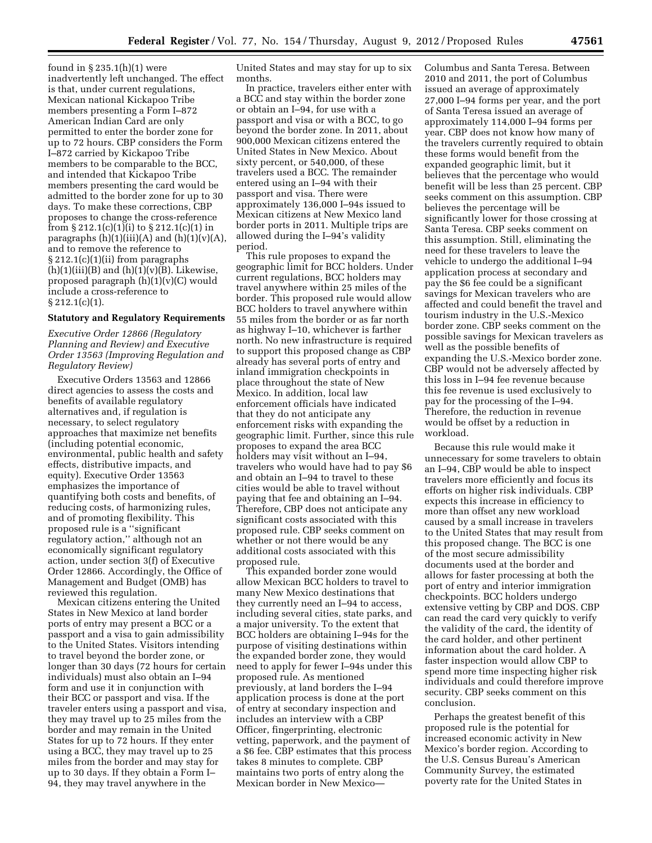found in § 235.1(h)(1) were inadvertently left unchanged. The effect is that, under current regulations, Mexican national Kickapoo Tribe members presenting a Form I–872 American Indian Card are only permitted to enter the border zone for up to 72 hours. CBP considers the Form I–872 carried by Kickapoo Tribe members to be comparable to the BCC, and intended that Kickapoo Tribe members presenting the card would be admitted to the border zone for up to 30 days. To make these corrections, CBP proposes to change the cross-reference from  $\S 212.1(c)(1)(i)$  to  $\S 212.1(c)(1)$  in paragraphs  $(h)(1)(iii)(A)$  and  $(h)(1)(v)(A)$ , and to remove the reference to § 212.1(c)(1)(ii) from paragraphs  $(h)(1)(iii)(B)$  and  $(h)(1)(v)(B)$ . Likewise, proposed paragraph (h)(1)(v)(C) would include a cross-reference to  $§ 212.1(c)(1).$ 

#### **Statutory and Regulatory Requirements**

*Executive Order 12866 (Regulatory Planning and Review) and Executive Order 13563 (Improving Regulation and Regulatory Review)* 

Executive Orders 13563 and 12866 direct agencies to assess the costs and benefits of available regulatory alternatives and, if regulation is necessary, to select regulatory approaches that maximize net benefits (including potential economic, environmental, public health and safety effects, distributive impacts, and equity). Executive Order 13563 emphasizes the importance of quantifying both costs and benefits, of reducing costs, of harmonizing rules, and of promoting flexibility. This proposed rule is a ''significant regulatory action,'' although not an economically significant regulatory action, under section 3(f) of Executive Order 12866. Accordingly, the Office of Management and Budget (OMB) has reviewed this regulation.

Mexican citizens entering the United States in New Mexico at land border ports of entry may present a BCC or a passport and a visa to gain admissibility to the United States. Visitors intending to travel beyond the border zone, or longer than 30 days (72 hours for certain individuals) must also obtain an I–94 form and use it in conjunction with their BCC or passport and visa. If the traveler enters using a passport and visa, they may travel up to 25 miles from the border and may remain in the United States for up to 72 hours. If they enter using a BCC, they may travel up to 25 miles from the border and may stay for up to 30 days. If they obtain a Form I– 94, they may travel anywhere in the

United States and may stay for up to six months.

In practice, travelers either enter with a BCC and stay within the border zone or obtain an I–94, for use with a passport and visa or with a BCC, to go beyond the border zone. In 2011, about 900,000 Mexican citizens entered the United States in New Mexico. About sixty percent, or 540,000, of these travelers used a BCC. The remainder entered using an I–94 with their passport and visa. There were approximately 136,000 I–94s issued to Mexican citizens at New Mexico land border ports in 2011. Multiple trips are allowed during the I–94's validity period.

This rule proposes to expand the geographic limit for BCC holders. Under current regulations, BCC holders may travel anywhere within 25 miles of the border. This proposed rule would allow BCC holders to travel anywhere within 55 miles from the border or as far north as highway I–10, whichever is farther north. No new infrastructure is required to support this proposed change as CBP already has several ports of entry and inland immigration checkpoints in place throughout the state of New Mexico. In addition, local law enforcement officials have indicated that they do not anticipate any enforcement risks with expanding the geographic limit. Further, since this rule proposes to expand the area BCC holders may visit without an I–94, travelers who would have had to pay \$6 and obtain an I–94 to travel to these cities would be able to travel without paying that fee and obtaining an I–94. Therefore, CBP does not anticipate any significant costs associated with this proposed rule. CBP seeks comment on whether or not there would be any additional costs associated with this proposed rule.

This expanded border zone would allow Mexican BCC holders to travel to many New Mexico destinations that they currently need an I–94 to access, including several cities, state parks, and a major university. To the extent that BCC holders are obtaining I–94s for the purpose of visiting destinations within the expanded border zone, they would need to apply for fewer I–94s under this proposed rule. As mentioned previously, at land borders the I–94 application process is done at the port of entry at secondary inspection and includes an interview with a CBP Officer, fingerprinting, electronic vetting, paperwork, and the payment of a \$6 fee. CBP estimates that this process takes 8 minutes to complete. CBP maintains two ports of entry along the Mexican border in New MexicoColumbus and Santa Teresa. Between 2010 and 2011, the port of Columbus issued an average of approximately 27,000 I–94 forms per year, and the port of Santa Teresa issued an average of approximately 114,000 I–94 forms per year. CBP does not know how many of the travelers currently required to obtain these forms would benefit from the expanded geographic limit, but it believes that the percentage who would benefit will be less than 25 percent. CBP seeks comment on this assumption. CBP believes the percentage will be significantly lower for those crossing at Santa Teresa. CBP seeks comment on this assumption. Still, eliminating the need for these travelers to leave the vehicle to undergo the additional I–94 application process at secondary and pay the \$6 fee could be a significant savings for Mexican travelers who are affected and could benefit the travel and tourism industry in the U.S.-Mexico border zone. CBP seeks comment on the possible savings for Mexican travelers as well as the possible benefits of expanding the U.S.-Mexico border zone. CBP would not be adversely affected by this loss in I–94 fee revenue because this fee revenue is used exclusively to pay for the processing of the I–94. Therefore, the reduction in revenue would be offset by a reduction in workload.

Because this rule would make it unnecessary for some travelers to obtain an I–94, CBP would be able to inspect travelers more efficiently and focus its efforts on higher risk individuals. CBP expects this increase in efficiency to more than offset any new workload caused by a small increase in travelers to the United States that may result from this proposed change. The BCC is one of the most secure admissibility documents used at the border and allows for faster processing at both the port of entry and interior immigration checkpoints. BCC holders undergo extensive vetting by CBP and DOS. CBP can read the card very quickly to verify the validity of the card, the identity of the card holder, and other pertinent information about the card holder. A faster inspection would allow CBP to spend more time inspecting higher risk individuals and could therefore improve security. CBP seeks comment on this conclusion.

Perhaps the greatest benefit of this proposed rule is the potential for increased economic activity in New Mexico's border region. According to the U.S. Census Bureau's American Community Survey, the estimated poverty rate for the United States in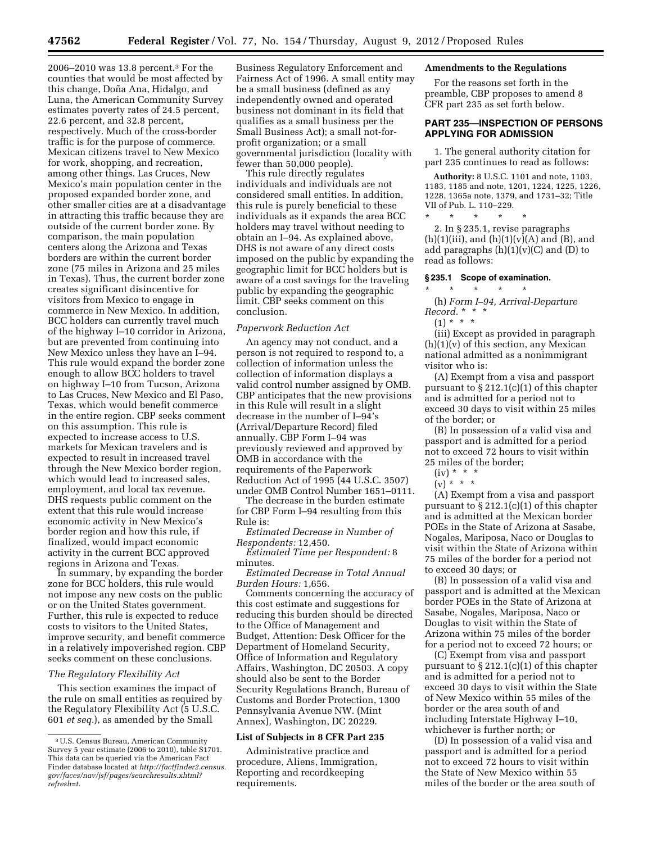2006–2010 was 13.8 percent.3 For the counties that would be most affected by this change, Doña Ana, Hidalgo, and Luna, the American Community Survey estimates poverty rates of 24.5 percent, 22.6 percent, and 32.8 percent, respectively. Much of the cross-border traffic is for the purpose of commerce. Mexican citizens travel to New Mexico for work, shopping, and recreation, among other things. Las Cruces, New Mexico's main population center in the proposed expanded border zone, and other smaller cities are at a disadvantage in attracting this traffic because they are outside of the current border zone. By comparison, the main population centers along the Arizona and Texas borders are within the current border zone (75 miles in Arizona and 25 miles in Texas). Thus, the current border zone creates significant disincentive for visitors from Mexico to engage in commerce in New Mexico. In addition, BCC holders can currently travel much of the highway I–10 corridor in Arizona, but are prevented from continuing into New Mexico unless they have an I–94. This rule would expand the border zone enough to allow BCC holders to travel on highway I–10 from Tucson, Arizona to Las Cruces, New Mexico and El Paso, Texas, which would benefit commerce in the entire region. CBP seeks comment on this assumption. This rule is expected to increase access to U.S. markets for Mexican travelers and is expected to result in increased travel through the New Mexico border region, which would lead to increased sales, employment, and local tax revenue. DHS requests public comment on the extent that this rule would increase economic activity in New Mexico's border region and how this rule, if finalized, would impact economic activity in the current BCC approved regions in Arizona and Texas.

In summary, by expanding the border zone for BCC holders, this rule would not impose any new costs on the public or on the United States government. Further, this rule is expected to reduce costs to visitors to the United States, improve security, and benefit commerce in a relatively impoverished region. CBP seeks comment on these conclusions.

#### *The Regulatory Flexibility Act*

This section examines the impact of the rule on small entities as required by the Regulatory Flexibility Act (5 U.S.C. 601 *et seq.*), as amended by the Small

Business Regulatory Enforcement and Fairness Act of 1996. A small entity may be a small business (defined as any independently owned and operated business not dominant in its field that qualifies as a small business per the Small Business Act); a small not-forprofit organization; or a small governmental jurisdiction (locality with fewer than 50,000 people).

This rule directly regulates individuals and individuals are not considered small entities. In addition, this rule is purely beneficial to these individuals as it expands the area BCC holders may travel without needing to obtain an I–94. As explained above, DHS is not aware of any direct costs imposed on the public by expanding the geographic limit for BCC holders but is aware of a cost savings for the traveling public by expanding the geographic limit. CBP seeks comment on this conclusion.

#### *Paperwork Reduction Act*

An agency may not conduct, and a person is not required to respond to, a collection of information unless the collection of information displays a valid control number assigned by OMB. CBP anticipates that the new provisions in this Rule will result in a slight decrease in the number of I–94's (Arrival/Departure Record) filed annually. CBP Form I–94 was previously reviewed and approved by OMB in accordance with the requirements of the Paperwork Reduction Act of 1995 (44 U.S.C. 3507) under OMB Control Number 1651–0111.

The decrease in the burden estimate for CBP Form I–94 resulting from this Rule is:

*Estimated Decrease in Number of Respondents:* 12,450.

*Estimated Time per Respondent:* 8 minutes.

*Estimated Decrease in Total Annual Burden Hours:* 1,656.

Comments concerning the accuracy of this cost estimate and suggestions for reducing this burden should be directed to the Office of Management and Budget, Attention: Desk Officer for the Department of Homeland Security, Office of Information and Regulatory Affairs, Washington, DC 20503. A copy should also be sent to the Border Security Regulations Branch, Bureau of Customs and Border Protection, 1300 Pennsylvania Avenue NW. (Mint Annex), Washington, DC 20229.

#### **List of Subjects in 8 CFR Part 235**

Administrative practice and procedure, Aliens, Immigration, Reporting and recordkeeping requirements.

# **Amendments to the Regulations**

For the reasons set forth in the preamble, CBP proposes to amend 8 CFR part 235 as set forth below.

# **PART 235—INSPECTION OF PERSONS APPLYING FOR ADMISSION**

1. The general authority citation for part 235 continues to read as follows:

**Authority:** 8 U.S.C. 1101 and note, 1103, 1183, 1185 and note, 1201, 1224, 1225, 1226, 1228, 1365a note, 1379, and 1731–32; Title VII of Pub. L. 110–229.

\* \* \* \* \* 2. In § 235.1, revise paragraphs  $(h)(1)(iii)$ , and  $(h)(1)(v)(A)$  and  $(B)$ , and add paragraphs  $(h)(1)(v)(C)$  and  $(D)$  to

#### **§ 235.1 Scope of examination.**

\* \* \* \* \* (h) *Form I–94, Arrival-Departure* 

*Record.* \* \* \*

 $(1) * * * *$ 

read as follows:

(iii) Except as provided in paragraph  $(h)(1)(v)$  of this section, any Mexican national admitted as a nonimmigrant visitor who is:

(A) Exempt from a visa and passport pursuant to  $\S 212.1(c)(1)$  of this chapter and is admitted for a period not to exceed 30 days to visit within 25 miles of the border; or

(B) In possession of a valid visa and passport and is admitted for a period not to exceed 72 hours to visit within 25 miles of the border;

# $(iv) * * * *$

 $(v) * * * *$ 

(A) Exempt from a visa and passport pursuant to § 212.1(c)(1) of this chapter and is admitted at the Mexican border POEs in the State of Arizona at Sasabe, Nogales, Mariposa, Naco or Douglas to visit within the State of Arizona within 75 miles of the border for a period not to exceed 30 days; or

(B) In possession of a valid visa and passport and is admitted at the Mexican border POEs in the State of Arizona at Sasabe, Nogales, Mariposa, Naco or Douglas to visit within the State of Arizona within 75 miles of the border for a period not to exceed 72 hours; or

(C) Exempt from visa and passport pursuant to  $\S 212.1(c)(1)$  of this chapter and is admitted for a period not to exceed 30 days to visit within the State of New Mexico within 55 miles of the border or the area south of and including Interstate Highway I–10, whichever is further north; or

(D) In possession of a valid visa and passport and is admitted for a period not to exceed 72 hours to visit within the State of New Mexico within 55 miles of the border or the area south of

<sup>3</sup>U.S. Census Bureau, American Community Survey 5 year estimate (2006 to 2010), table S1701. This data can be queried via the American Fact Finder database located at *[http://factfinder2.census.](http://factfinder2.census.gov/faces/nav/jsf/pages/searchresults.xhtml?refresh=t) [gov/faces/nav/jsf/pages/searchresults.xhtml?](http://factfinder2.census.gov/faces/nav/jsf/pages/searchresults.xhtml?refresh=t) [refresh=t.](http://factfinder2.census.gov/faces/nav/jsf/pages/searchresults.xhtml?refresh=t)*